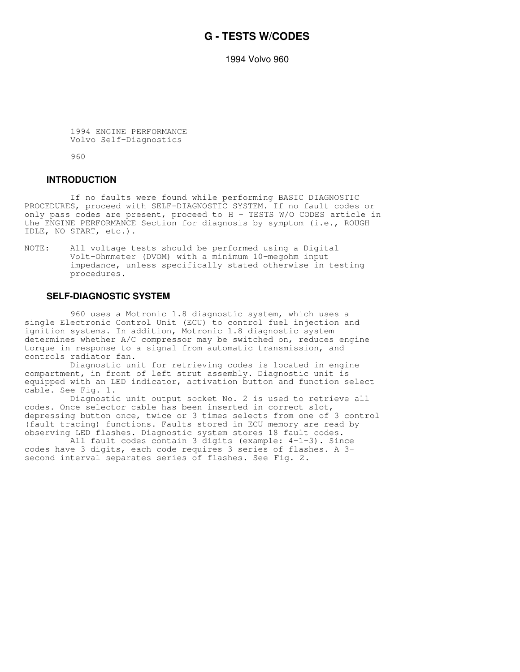## **G - TESTS W/CODES**

1994 Volvo 960

 1994 ENGINE PERFORMANCE Volvo Self-Diagnostics

960

#### **INTRODUCTION**

 If no faults were found while performing BASIC DIAGNOSTIC PROCEDURES, proceed with SELF-DIAGNOSTIC SYSTEM. If no fault codes or only pass codes are present, proceed to H - TESTS W/O CODES article in the ENGINE PERFORMANCE Section for diagnosis by symptom (i.e., ROUGH IDLE, NO START, etc.).

NOTE: All voltage tests should be performed using a Digital Volt-Ohmmeter (DVOM) with a minimum 10-megohm input impedance, unless specifically stated otherwise in testing procedures.

#### **SELF-DIAGNOSTIC SYSTEM**

 960 uses a Motronic 1.8 diagnostic system, which uses a single Electronic Control Unit (ECU) to control fuel injection and ignition systems. In addition, Motronic 1.8 diagnostic system determines whether A/C compressor may be switched on, reduces engine torque in response to a signal from automatic transmission, and controls radiator fan.

 Diagnostic unit for retrieving codes is located in engine compartment, in front of left strut assembly. Diagnostic unit is equipped with an LED indicator, activation button and function select cable. See Fig. 1.

 Diagnostic unit output socket No. 2 is used to retrieve all codes. Once selector cable has been inserted in correct slot, depressing button once, twice or 3 times selects from one of 3 control (fault tracing) functions. Faults stored in ECU memory are read by observing LED flashes. Diagnostic system stores 18 fault codes.

 All fault codes contain 3 digits (example: 4-1-3). Since codes have 3 digits, each code requires 3 series of flashes. A 3 second interval separates series of flashes. See Fig. 2.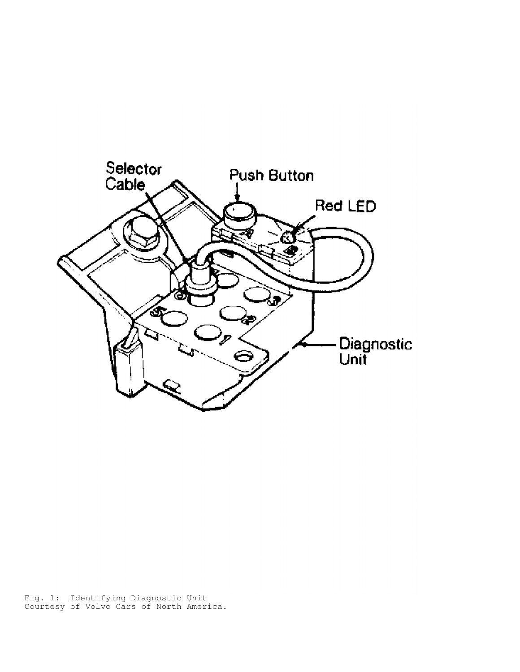

Fig. 1: Identifying Diagnostic Unit Courtesy of Volvo Cars of North America.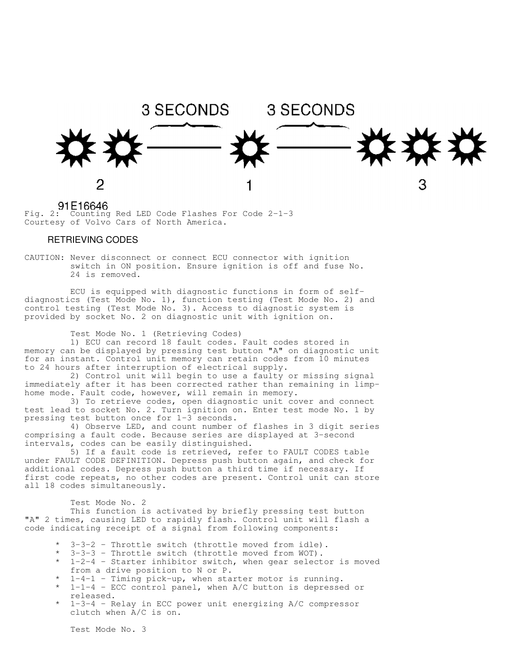

 $91E16646$ <br>Fig. 2: Counting Red LED Code Flashes For Code 2-1-3 Courtesy of Volvo Cars of North America.

## RETRIEVING CODES

CAUTION: Never disconnect or connect ECU connector with ignition switch in ON position. Ensure ignition is off and fuse No. 24 is removed.

 ECU is equipped with diagnostic functions in form of selfdiagnostics (Test Mode No. 1), function testing (Test Mode No. 2) and control testing (Test Mode No. 3). Access to diagnostic system is provided by socket No. 2 on diagnostic unit with ignition on.

Test Mode No. 1 (Retrieving Codes)

 1) ECU can record 18 fault codes. Fault codes stored in memory can be displayed by pressing test button "A" on diagnostic unit for an instant. Control unit memory can retain codes from 10 minutes to 24 hours after interruption of electrical supply.

 2) Control unit will begin to use a faulty or missing signal immediately after it has been corrected rather than remaining in limphome mode. Fault code, however, will remain in memory.

 3) To retrieve codes, open diagnostic unit cover and connect test lead to socket No. 2. Turn ignition on. Enter test mode No. 1 by pressing test button once for 1-3 seconds.

 4) Observe LED, and count number of flashes in 3 digit series comprising a fault code. Because series are displayed at 3-second intervals, codes can be easily distinguished.

 5) If a fault code is retrieved, refer to FAULT CODES table under FAULT CODE DEFINITION. Depress push button again, and check for additional codes. Depress push button a third time if necessary. If first code repeats, no other codes are present. Control unit can store all 18 codes simultaneously.

Test Mode No. 2

 This function is activated by briefly pressing test button "A" 2 times, causing LED to rapidly flash. Control unit will flash a code indicating receipt of a signal from following components:

- $3-3-2$  Throttle switch (throttle moved from idle).
- \* 3-3-3 Throttle switch (throttle moved from WOT).
- $1-2-4$  Starter inhibitor switch, when gear selector is moved from a drive position to N or P.
- $1-4-1$  Timing pick-up, when starter motor is running.
- $1-1-4$  ECC control panel, when A/C button is depressed or released.
- \* 1-3-4 Relay in ECC power unit energizing A/C compressor clutch when A/C is on.

Test Mode No. 3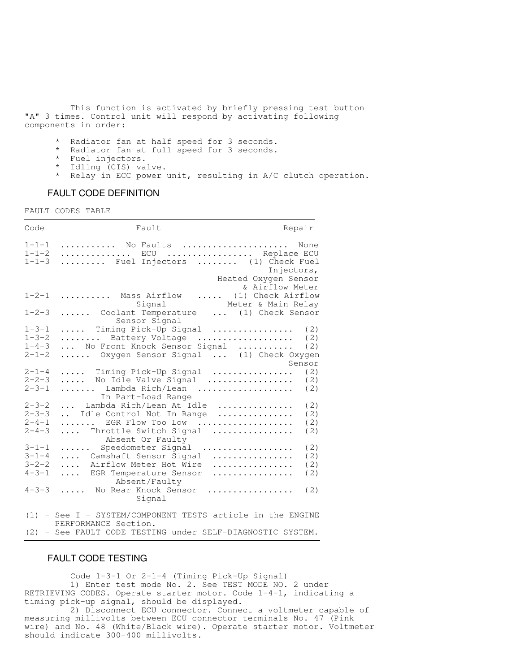This function is activated by briefly pressing test button "A" 3 times. Control unit will respond by activating following components in order:

- Radiator fan at half speed for 3 seconds.
- \* Radiator fan at full speed for 3 seconds.
- \* Fuel injectors.
- \* Idling (CIS) valve.
- \* Relay in ECC power unit, resulting in A/C clutch operation.

## FAULT CODE DEFINITION

FAULT CODES TABLE

| Code                                                     | Fault                                                                                                                                                                       | Repair                                                        |
|----------------------------------------------------------|-----------------------------------------------------------------------------------------------------------------------------------------------------------------------------|---------------------------------------------------------------|
| $1 - 1 - 1$<br>$1 - 1 - 2$<br>$1 - 1 - 3$                | No Faults<br>ECU  Replace ECU<br>Fuel Injectors  (1) Check Fuel                                                                                                             | None<br>Injectors,<br>Heated Oxygen Sensor<br>& Airflow Meter |
| $1 - 2 - 1$                                              | Mass Airflow<br>.<br>Signal                                                                                                                                                 | (1) Check Airflow<br>Meter & Main Relay                       |
| $1 - 2 - 3$                                              | Coolant Temperature<br>Sensor Signal                                                                                                                                        | (1) Check Sensor<br>$\cdots$                                  |
| $1 - 3 - 1$<br>$1 - 3 - 2$<br>$1 - 4 - 3$<br>$2 - 1 - 2$ | Timing Pick-Up Signal<br>.<br>Battery Voltage<br>.<br>No Front Knock Sensor Signal<br>Oxygen Sensor Signal  (1) Check Oxygen                                                | (2)<br>(2)<br>.<br>(2)<br>Sensor                              |
| $2 - 1 - 4$<br>$2 - 2 - 3$                               | Timing Pick-Up Signal                                                                                                                                                       | (2)                                                           |
| $2 - 3 - 1$                                              | No Idle Valve Signal<br>.<br>Lambda Rich/Lean<br>.                                                                                                                          | (2)<br>(2)                                                    |
| $2 - 3 - 2$<br>$2 - 3 - 3$<br>$2 - 4 - 1$<br>$2 - 4 - 3$ | In Part-Load Range<br>Lambda Rich/Lean At Idle<br>$\sim$ $\sim$ $\sim$<br>Idle Control Not In Range<br>$\mathbf{r}$<br>EGR Flow Too Low<br>.<br>Throttle Switch Signal<br>. | (2)<br>.<br>(2)<br>.<br>(2)<br>.<br>(2)                       |
| $3 - 1 - 1$                                              | Absent Or Faulty<br>Speedometer Signal<br>.                                                                                                                                 | .<br>(2)                                                      |
| $3 - 1 - 4$                                              | Camshaft Sensor Signal<br>.                                                                                                                                                 | .<br>(2)                                                      |
| $3 - 2 - 2$                                              | Airflow Meter Hot Wire<br>$\cdots$                                                                                                                                          | (2)<br>.                                                      |
| $4 - 3 - 1$                                              | EGR Temperature Sensor<br>.<br>Absent/Faulty                                                                                                                                | (2)<br>.                                                      |
| $4 - 3 - 3$                                              | No Rear Knock Sensor<br>Signal                                                                                                                                              | (2)<br>.                                                      |
| (1)                                                      | - See I - SYSTEM/COMPONENT TESTS article in the ENGINE<br>PERFORMANCE Section.                                                                                              |                                                               |

(2) - See FAULT CODE TESTING under SELF-DIAGNOSTIC SYSTEM.

#### FAULT CODE TESTING

 Code 1-3-1 Or 2-1-4 (Timing Pick-Up Signal) 1) Enter test mode No. 2. See TEST MODE NO. 2 under RETRIEVING CODES. Operate starter motor. Code 1-4-1, indicating a timing pick-up signal, should be displayed.

 2) Disconnect ECU connector. Connect a voltmeter capable of measuring millivolts between ECU connector terminals No. 47 (Pink wire) and No. 48 (White/Black wire). Operate starter motor. Voltmeter should indicate 300-400 millivolts.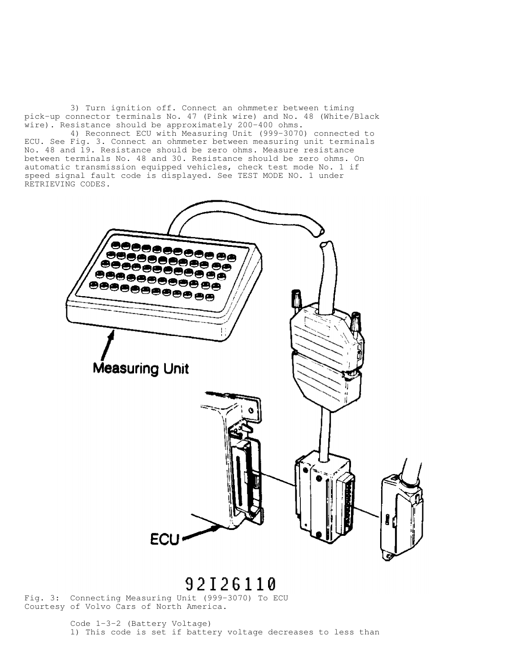3) Turn ignition off. Connect an ohmmeter between timing pick-up connector terminals No. 47 (Pink wire) and No. 48 (White/Black wire). Resistance should be approximately 200-400 ohms.

 4) Reconnect ECU with Measuring Unit (999-3070) connected to ECU. See Fig. 3. Connect an ohmmeter between measuring unit terminals No. 48 and 19. Resistance should be zero ohms. Measure resistance between terminals No. 48 and 30. Resistance should be zero ohms. On automatic transmission equipped vehicles, check test mode No. 1 if speed signal fault code is displayed. See TEST MODE NO. 1 under RETRIEVING CODES.



# 92126110

Fig. 3: Connecting Measuring Unit (999-3070) To ECU Courtesy of Volvo Cars of North America.

> Code 1-3-2 (Battery Voltage) 1) This code is set if battery voltage decreases to less than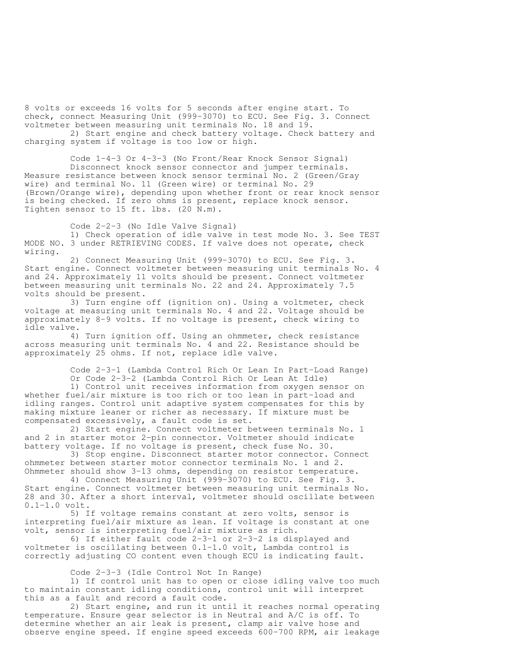8 volts or exceeds 16 volts for 5 seconds after engine start. To check, connect Measuring Unit (999-3070) to ECU. See Fig. 3. Connect voltmeter between measuring unit terminals No. 18 and 19.

 2) Start engine and check battery voltage. Check battery and charging system if voltage is too low or high.

 Code 1-4-3 Or 4-3-3 (No Front/Rear Knock Sensor Signal) Disconnect knock sensor connector and jumper terminals. Measure resistance between knock sensor terminal No. 2 (Green/Gray wire) and terminal No. 11 (Green wire) or terminal No. 29 (Brown/Orange wire), depending upon whether front or rear knock sensor is being checked. If zero ohms is present, replace knock sensor. Tighten sensor to 15 ft. lbs. (20 N.m).

Code 2-2-3 (No Idle Valve Signal)

 1) Check operation of idle valve in test mode No. 3. See TEST MODE NO. 3 under RETRIEVING CODES. If valve does not operate, check wiring.

 2) Connect Measuring Unit (999-3070) to ECU. See Fig. 3. Start engine. Connect voltmeter between measuring unit terminals No. 4 and 24. Approximately 11 volts should be present. Connect voltmeter between measuring unit terminals No. 22 and 24. Approximately 7.5 volts should be present.

 3) Turn engine off (ignition on). Using a voltmeter, check voltage at measuring unit terminals No. 4 and 22. Voltage should be approximately 8-9 volts. If no voltage is present, check wiring to idle valve.

 4) Turn ignition off. Using an ohmmeter, check resistance across measuring unit terminals No. 4 and 22. Resistance should be approximately 25 ohms. If not, replace idle valve.

> Code 2-3-1 (Lambda Control Rich Or Lean In Part-Load Range) Or Code 2-3-2 (Lambda Control Rich Or Lean At Idle)

 1) Control unit receives information from oxygen sensor on whether fuel/air mixture is too rich or too lean in part-load and idling ranges. Control unit adaptive system compensates for this by making mixture leaner or richer as necessary. If mixture must be compensated excessively, a fault code is set.

 2) Start engine. Connect voltmeter between terminals No. 1 and 2 in starter motor 2-pin connector. Voltmeter should indicate battery voltage. If no voltage is present, check fuse No. 30.

 3) Stop engine. Disconnect starter motor connector. Connect ohmmeter between starter motor connector terminals No. 1 and 2. Ohmmeter should show 3-13 ohms, depending on resistor temperature.

 4) Connect Measuring Unit (999-3070) to ECU. See Fig. 3. Start engine. Connect voltmeter between measuring unit terminals No. 28 and 30. After a short interval, voltmeter should oscillate between 0.1-1.0 volt.

 5) If voltage remains constant at zero volts, sensor is interpreting fuel/air mixture as lean. If voltage is constant at one volt, sensor is interpreting fuel/air mixture as rich.

 6) If either fault code 2-3-1 or 2-3-2 is displayed and voltmeter is oscillating between 0.1-1.0 volt, Lambda control is correctly adjusting CO content even though ECU is indicating fault.

Code 2-3-3 (Idle Control Not In Range)

 1) If control unit has to open or close idling valve too much to maintain constant idling conditions, control unit will interpret this as a fault and record a fault code.

 2) Start engine, and run it until it reaches normal operating temperature. Ensure gear selector is in Neutral and A/C is off. To determine whether an air leak is present, clamp air valve hose and observe engine speed. If engine speed exceeds 600-700 RPM, air leakage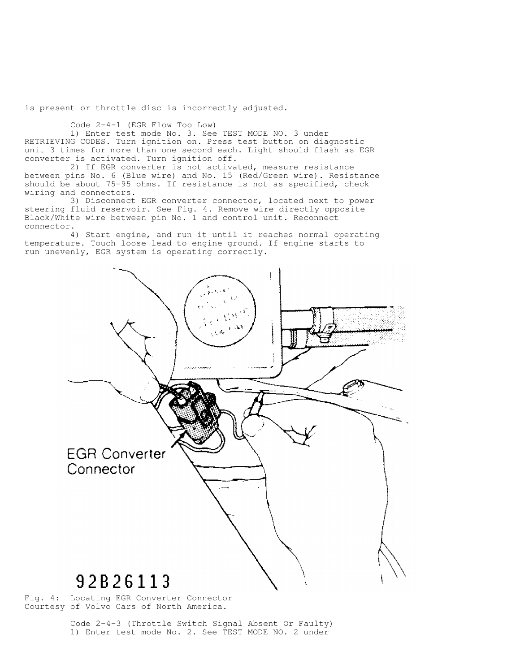is present or throttle disc is incorrectly adjusted.

Code 2-4-1 (EGR Flow Too Low)

 1) Enter test mode No. 3. See TEST MODE NO. 3 under RETRIEVING CODES. Turn ignition on. Press test button on diagnostic unit 3 times for more than one second each. Light should flash as EGR converter is activated. Turn ignition off.

 2) If EGR converter is not activated, measure resistance between pins No. 6 (Blue wire) and No. 15 (Red/Green wire). Resistance should be about 75-95 ohms. If resistance is not as specified, check wiring and connectors.

 3) Disconnect EGR converter connector, located next to power steering fluid reservoir. See Fig. 4. Remove wire directly opposite Black/White wire between pin No. 1 and control unit. Reconnect connector.

 4) Start engine, and run it until it reaches normal operating temperature. Touch loose lead to engine ground. If engine starts to run unevenly, EGR system is operating correctly.



Fig. 4: Locating EGR Converter Connector Courtesy of Volvo Cars of North America.

> Code 2-4-3 (Throttle Switch Signal Absent Or Faulty) 1) Enter test mode No. 2. See TEST MODE NO. 2 under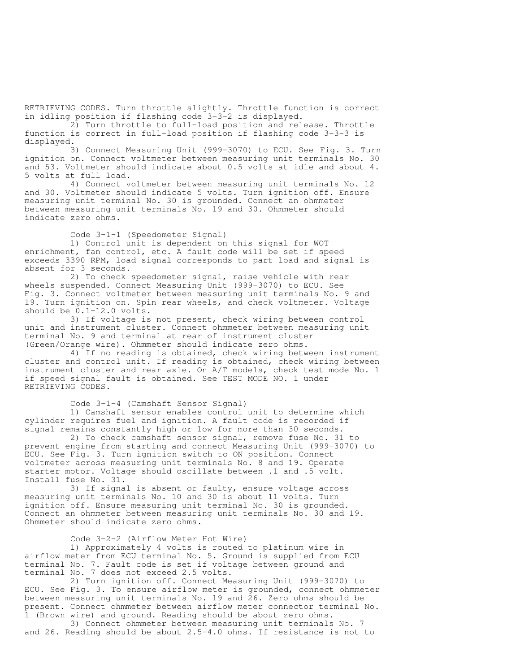RETRIEVING CODES. Turn throttle slightly. Throttle function is correct in idling position if flashing code 3-3-2 is displayed.

 2) Turn throttle to full-load position and release. Throttle function is correct in full-load position if flashing code 3-3-3 is displayed.

 3) Connect Measuring Unit (999-3070) to ECU. See Fig. 3. Turn ignition on. Connect voltmeter between measuring unit terminals No. 30 and 53. Voltmeter should indicate about 0.5 volts at idle and about 4. 5 volts at full load.

 4) Connect voltmeter between measuring unit terminals No. 12 and 30. Voltmeter should indicate 5 volts. Turn ignition off. Ensure measuring unit terminal No. 30 is grounded. Connect an ohmmeter between measuring unit terminals No. 19 and 30. Ohmmeter should indicate zero ohms.

Code 3-1-1 (Speedometer Signal)

 1) Control unit is dependent on this signal for WOT enrichment, fan control, etc. A fault code will be set if speed exceeds 3390 RPM, load signal corresponds to part load and signal is absent for 3 seconds.

 2) To check speedometer signal, raise vehicle with rear wheels suspended. Connect Measuring Unit (999-3070) to ECU. See Fig. 3. Connect voltmeter between measuring unit terminals No. 9 and 19. Turn ignition on. Spin rear wheels, and check voltmeter. Voltage should be 0.1-12.0 volts.

 3) If voltage is not present, check wiring between control unit and instrument cluster. Connect ohmmeter between measuring unit terminal No. 9 and terminal at rear of instrument cluster (Green/Orange wire). Ohmmeter should indicate zero ohms.

 4) If no reading is obtained, check wiring between instrument cluster and control unit. If reading is obtained, check wiring between instrument cluster and rear axle. On A/T models, check test mode No. 1 if speed signal fault is obtained. See TEST MODE NO. 1 under RETRIEVING CODES.

Code 3-1-4 (Camshaft Sensor Signal)

 1) Camshaft sensor enables control unit to determine which cylinder requires fuel and ignition. A fault code is recorded if signal remains constantly high or low for more than 30 seconds.

 2) To check camshaft sensor signal, remove fuse No. 31 to prevent engine from starting and connect Measuring Unit (999-3070) to ECU. See Fig. 3. Turn ignition switch to ON position. Connect voltmeter across measuring unit terminals No. 8 and 19. Operate starter motor. Voltage should oscillate between .1 and .5 volt. Install fuse No. 31.

 3) If signal is absent or faulty, ensure voltage across measuring unit terminals No. 10 and 30 is about 11 volts. Turn ignition off. Ensure measuring unit terminal No. 30 is grounded. Connect an ohmmeter between measuring unit terminals No. 30 and 19. Ohmmeter should indicate zero ohms.

Code 3-2-2 (Airflow Meter Hot Wire)

 1) Approximately 4 volts is routed to platinum wire in airflow meter from ECU terminal No. 5. Ground is supplied from ECU terminal No. 7. Fault code is set if voltage between ground and terminal No. 7 does not exceed 2.5 volts.

 2) Turn ignition off. Connect Measuring Unit (999-3070) to ECU. See Fig. 3. To ensure airflow meter is grounded, connect ohmmeter between measuring unit terminals No. 19 and 26. Zero ohms should be present. Connect ohmmeter between airflow meter connector terminal No. 1 (Brown wire) and ground. Reading should be about zero ohms.

 3) Connect ohmmeter between measuring unit terminals No. 7 and 26. Reading should be about 2.5-4.0 ohms. If resistance is not to